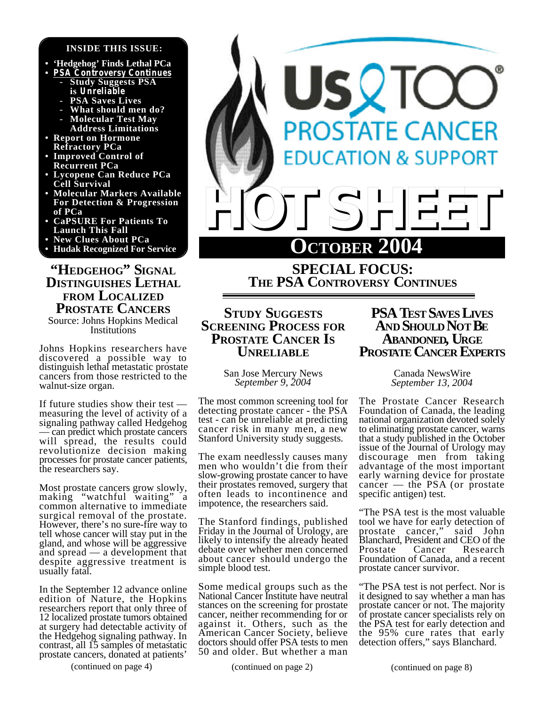#### **INSIDE THIS ISSUE:**

- **• 'Hedgehog' Finds Lethal PCa**
- **•** *PSA Controversy Continues*
	- **- Study Suggests PSA is** *Unreliable*
	- **- PSA Saves Lives**
	- **- What should men do?**
	- **- Molecular Test May Address Limitations**
- **• Report on Hormone Refractory PCa**
- **• Improved Control of Recurrent PCa**
- **• Lycopene Can Reduce PCa Cell Survival**
- **• Molecular Markers Available For Detection & Progression of PCa**
- **• CaPSURE For Patients To Launch This Fall**
- **• New Clues About PCa**
- **• Hudak Recognized For Service**

**"HEDGEHOG" SIGNAL DISTINGUISHES LETHAL FROM LOCALIZED PROSTATE CANCERS** Source: Johns Hopkins Medical Institutions

Johns Hopkins researchers have discovered a possible way to distinguish lethal metastatic prostate cancers from those restricted to the walnut-size organ.

If future studies show their test measuring the level of activity of a signaling pathway called Hedgehog — can predict which prostate cancers will spread, the results could revolutionize decision making processes for prostate cancer patients, the researchers say.

Most prostate cancers grow slowly, making "watchful waiting" a common alternative to immediate surgical removal of the prostate. However, there's no sure-fire way to tell whose cancer will stay put in the gland, and whose will be aggressive and spread — a development that despite aggressive treatment is usually fatal.

In the September 12 advance online edition of Nature, the Hopkins researchers report that only three of 12 localized prostate tumors obtained at surgery had detectable activity of the Hedgehog signaling pathway. In contrast, all 15 samples of metastatic prostate cancers, donated at patients'



*HOT SHEET*

**SPECIAL FOCUS: THE PSA CONTROVERSY CONTINUES**

**OCTOBER 2004**

San Jose Mercury News *September 9, 2004*

The most common screening tool for detecting prostate cancer - the PSA test - can be unreliable at predicting cancer risk in many men, a new Stanford University study suggests.

The exam needlessly causes many men who wouldn't die from their slow-growing prostate cancer to have their prostates removed, surgery that often leads to incontinence and impotence, the researchers said.

The Stanford findings, published Friday in the Journal of Urology, are likely to intensify the already heated debate over whether men concerned about cancer should undergo the simple blood test.

Some medical groups such as the National Cancer Institute have neutral stances on the screening for prostate cancer, neither recommending for or against it. Others, such as the American Cancer Society, believe doctors should offer PSA tests to men 50 and older. But whether a man

(continued on page 4) (continued on page 2) (continued on page 8)

# **PSA TEST SAVES LIVES AND SHOULD NOT BE ABANDONED, URGE PROSTATE CANCER EXPERTS**

DSTATE CANCER

UCATION & SUPPORT

Canada NewsWire *September 13, 2004*

The Prostate Cancer Research Foundation of Canada, the leading national organization devoted solely to eliminating prostate cancer, warns that a study published in the October issue of the Journal of Urology may discourage men from taking advantage of the most important early warning device for prostate cancer — the PSA (or prostate specific antigen) test.

"The PSA test is the most valuable tool we have for early detection of prostate cancer," said John Blanchard, President and CEO of the Prostate Cancer Research Foundation of Canada, and a recent prostate cancer survivor.

"The PSA test is not perfect. Nor is it designed to say whether a man has prostate cancer or not. The majority of prostate cancer specialists rely on the PSA test for early detection and the 95% cure rates that early detection offers," says Blanchard.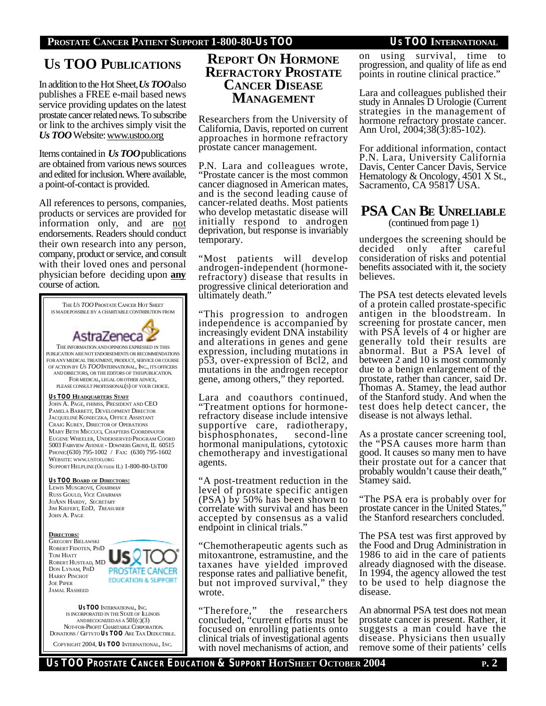## **PROSTATE CANCER PATIENT SUPPORT 1-800-80-***US TOO US TOO* **INTERNATIONAL**

# **US TOO PUBLICATIONS**

In addition to the Hot Sheet, *Us TOO*also publishes a FREE e-mail based news service providing updates on the latest prostate cancer related news. To subscribe or link to the archives simply visit the *Us TOO* Website: www.ustoo.org

Items contained in *Us TOO*publications are obtained from various news sources and edited for inclusion. Where available, a point-of-contact is provided.

All references to persons, companies, products or services are provided for information only, and are not endorsements. Readers should conduct their own research into any person, company, product or service, and consult with their loved ones and personal physician before deciding upon **any** course of action.

THE*US TOO* PROSTATE CANCER HOT SHEET IS MADEPOSSIBLE BY A CHARITABLE CONTRIBUTION FROM AstraZeneca THE INFORMATION ANDOPINIONSEXPRESSED IN THIS PUBLICATION ARE NOT ENDORSEMENTS OR RECOMMENDATIONS FOR ANY MEDICAL TREATMENT, PRODUCT, SERVICE OR COURSE OF ACTION BY *US TOO* INTERNATIONAL, INC., ITS OFFICERS ANDDIRECTORS, ORTHE EDITORS OF THISPUBLICATION. FOR MEDICAL, LEGAL OR OTHER ADVICE, PLEASE CONSULT PROFESSIONAL(S) OF YOUR CHOICE. *U<sup>S</sup> TOO* **HEADQUARTERS STAFF** JOHN A. PAGE, FHIMSS, PRESIDENT AND CEO PAMELA BARRETT, DEVELOPMENT DIRECTOR JACQUELINE KONIECZKA, OFFICE ASSISTANT CRAIG KUREY, DIRECTOR OF OPERATIONS MARY BETH MICCUCI, CHAPTERS COORDINATOR EUGENE WHEELER, UNDERSERVED PROGRAM COORD 5003 FAIRVIEW AVENUE - DOWNERS GROVE, IL 60515 PHONE:(630) 795-1002 / FAX: (630) 795-1602 WEBSITE: WWW.USTOO.ORG SUPPORT HELPLINE(OUTSIDE IL) 1-800-80-UST00 *U<sup>S</sup> TOO* **BOARD OF DIRECTORS:** LEWIS MUSGROVE, *CHAIRMAN* RUSS GOULD, *VICE CHAIRMAN* JOANN HARDY, *SECRETARY* JIM KIEFERT, EDD, *TREASURER* JOHN A. PAGE **DIRECTORS:** GREGORY BIELAWSKI ROBERT FIDOTEN, PHD TOM HIATT ROBERT HUSTEAD, MD DON LYNAM, PHD PROSTATE CANCER

HARRY PINCHOT JOE PIPER

JAMAL RASHEED



*US TOO* INTERNATIONAL, INC. IS INCORPORATED IN THE STATEOF ILLINOIS AND RECOGNIZED AS A  $501(c)(3)$ NOT-FOR-PROFIT CHARITABLE CORPORATION DONATIONS / GIFTSTO *US TOO* ARE TAX DEDUCTIBLE.

COPYRIGHT 2004, *US TOO* INTERNATIONAL, INC.

## **REPORT ON HORMONE REFRACTORY PROSTATE CANCER DISEASE MANAGEMENT**

Researchers from the University of California, Davis, reported on current approaches in hormone refractory prostate cancer management.

P.N. Lara and colleagues wrote, "Prostate cancer is the most common cancer diagnosed in American mates, and is the second leading cause of cancer-related deaths. Most patients who develop metastatic disease will initially respond to androgen deprivation, but response is invariably temporary.

"Most patients will develop androgen-independent (hormonerefractory) disease that results in progressive clinical deterioration and ultimately death."

"This progression to androgen independence is accompanied by increasingly evident DNA instability and alterations in genes and gene expression, including mutations in p53, over-expression of Bcl2, and mutations in the androgen receptor gene, among others," they reported.

Lara and coauthors continued, "Treatment options for hormonerefractory disease include intensive supportive care, radiotherapy,<br>bisphosphonates, second-line bisphosphonates, hormonal manipulations, cytotoxic chemotherapy and investigational agents.

"A post-treatment reduction in the level of prostate specific antigen (PSA) by 50% has been shown to correlate with survival and has been accepted by consensus as a valid endpoint in clinical trials."

"Chemotherapeutic agents such as mitoxantrone, estramustine, and the taxanes have yielded improved response rates and palliative benefit, but not improved survival," they wrote.

"Therefore," the researchers concluded, "current efforts must be focused on enrolling patients onto clinical trials of investigational agents with novel mechanisms of action, and on using survival, time to progression, and quality of life as end points in routine clinical practice."

Lara and colleagues published their study in Annales D Urologie (Current strategies in the management of hormone refractory prostate cancer. Ann Urol, 2004;38(3):85-102).

For additional information, contact P.N. Lara, University California Davis, Center Cancer Davis, Service Hematology & Oncology, 4501 X St., Sacramento, CA 95817 USA.

## **PSA CAN BE UNRELIABLE**

(continued from page 1)

undergoes the screening should be<br>decided only after careful decided only consideration of risks and potential benefits associated with it, the society believes.

The PSA test detects elevated levels of a protein called prostate-specific antigen in the bloodstream. In screening for prostate cancer, men with PSA levels of 4 or higher are generally told their results are abnormal. But a PSA level of between 2 and 10 is most commonly due to a benign enlargement of the prostate, rather than cancer, said Dr. Thomas A. Stamey, the lead author of the Stanford study. And when the test does help detect cancer, the disease is not always lethal.

As a prostate cancer screening tool, the "PSA causes more harm than good. It causes so many men to have their prostate out for a cancer that probably wouldn't cause their death," Stamey said.

"The PSA era is probably over for prostate cancer in the United States," the Stanford researchers concluded.

The PSA test was first approved by the Food and Drug Administration in 1986 to aid in the care of patients already diagnosed with the disease. In 1994, the agency allowed the test to be used to help diagnose the disease.

An abnormal PSA test does not mean prostate cancer is present. Rather, it suggests a man could have the disease. Physicians then usually remove some of their patients' cells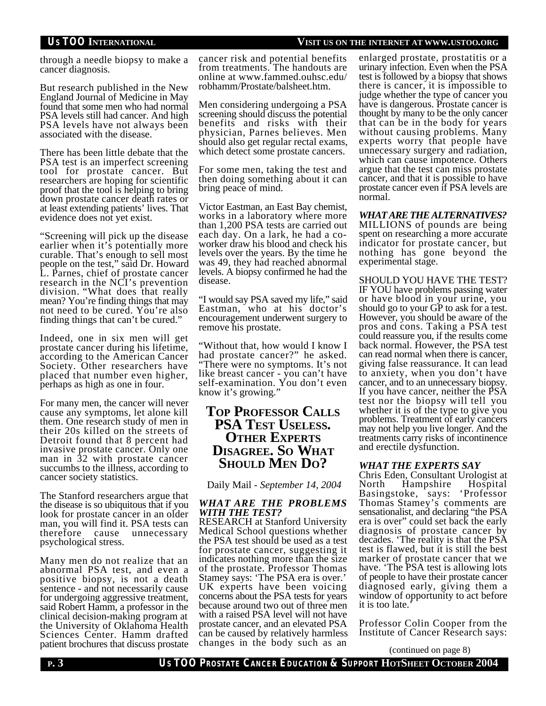### *US TOO* **INTERNATIONAL VISIT US ON THE INTERNET AT WWW.USTOO.ORG**

through a needle biopsy to make a cancer diagnosis.

But research published in the New England Journal of Medicine in May found that some men who had normal PSA levels still had cancer. And high PSA levels have not always been associated with the disease.

There has been little debate that the PSA test is an imperfect screening tool for prostate cancer. But researchers are hoping for scientific proof that the tool is helping to bring down prostate cancer death rates or at least extending patients' lives. That evidence does not yet exist.

"Screening will pick up the disease earlier when it's potentially more curable. That's enough to sell most people on the test," said Dr. Howard L. Parnes, chief of prostate cancer research in the NCI's prevention division. "What does that really mean? You're finding things that may not need to be cured. You're also finding things that can't be cured."

Indeed, one in six men will get prostate cancer during his lifetime, according to the American Cancer Society. Other researchers have placed that number even higher, perhaps as high as one in four.

For many men, the cancer will never cause any symptoms, let alone kill them. One research study of men in their 20s killed on the streets of Detroit found that 8 percent had invasive prostate cancer. Only one man in 32 with prostate cancer succumbs to the illness, according to cancer society statistics.

The Stanford researchers argue that the disease is so ubiquitous that if you look for prostate cancer in an older man, you will find it. PSA tests can therefore cause unnecessary psychological stress.

Many men do not realize that an abnormal PSA test, and even a positive biopsy, is not a death sentence - and not necessarily cause for undergoing aggressive treatment, said Robert Hamm, a professor in the clinical decision-making program at the University of Oklahoma Health Sciences Center. Hamm drafted patient brochures that discuss prostate cancer risk and potential benefits from treatments. The handouts are online at www.fammed.ouhsc.edu/ robhamm/Prostate/balsheet.htm.

Men considering undergoing a PSA screening should discuss the potential benefits and risks with their physician, Parnes believes. Men should also get regular rectal exams, which detect some prostate cancers.

For some men, taking the test and then doing something about it can bring peace of mind.

Victor Eastman, an East Bay chemist, works in a laboratory where more than 1,200 PSA tests are carried out each day. On a lark, he had a coworker draw his blood and check his levels over the years. By the time he was 49, they had reached abnormal levels. A biopsy confirmed he had the disease.

"I would say PSA saved my life," said Eastman, who at his doctor's encouragement underwent surgery to remove his prostate.

"Without that, how would I know I had prostate cancer?" he asked. "There were no symptoms. It's not like breast cancer - you can't have self-examination. You don't even know it's growing."

## **TOP PROFESSOR CALLS PSA TEST USELESS. OTHER EXPERTS DISAGREE. SO WHAT SHOULD MEN DO?**

Daily Mail - *September 14, 2004*

### *WHAT ARE THE PROBLEMS WITH THE TEST?*

RESEARCH at Stanford University Medical School questions whether the PSA test should be used as a test for prostate cancer, suggesting it indicates nothing more than the size of the prostate. Professor Thomas Stamey says: 'The PSA era is over.' UK experts have been voicing concerns about the PSA tests for years because around two out of three men with a raised PSA level will not have prostate cancer, and an elevated PSA can be caused by relatively harmless changes in the body such as an

enlarged prostate, prostatitis or a urinary infection. Even when the PSA test is followed by a biopsy that shows there is cancer, it is impossible to judge whether the type of cancer you have is dangerous. Prostate cancer is thought by many to be the only cancer that can be in the body for years without causing problems. Many experts worry that people have unnecessary surgery and radiation, which can cause impotence. Others argue that the test can miss prostate cancer, and that it is possible to have prostate cancer even if PSA levels are normal.

*WHAT ARE THE ALTERNATIVES?* MILLIONS of pounds are being spent on researching a more accurate indicator for prostate cancer, but nothing has gone beyond the experimental stage.

SHOULD YOU HAVE THE TEST? IF YOU have problems passing water or have blood in your urine, you should go to your GP to ask for a test. However, you should be aware of the pros and cons. Taking a PSA test could reassure you, if the results come back normal. However, the PSA test can read normal when there is cancer, giving false reassurance. It can lead to anxiety, when you don't have cancer, and to an unnecessary biopsy. If you have cancer, neither the PSA test nor the biopsy will tell you whether it is of the type to give you problems. Treatment of early cancers may not help you live longer. And the treatments carry risks of incontinence and erectile dysfunction.

### *WHAT THE EXPERTS SAY*

Chris Eden, Consultant Urologist at Hampshire Hospital<br>oke, says: 'Professor Basingstoke, says: Thomas Stamey's comments are sensationalist, and declaring "the PSA era is over" could set back the early diagnosis of prostate cancer by decades. 'The reality is that the PSA test is flawed, but it is still the best marker of prostate cancer that we have. 'The PSA test is allowing lots of people to have their prostate cancer diagnosed early, giving them a window of opportunity to act before it is too late.

Professor Colin Cooper from the Institute of Cancer Research says:

(continued on page 8)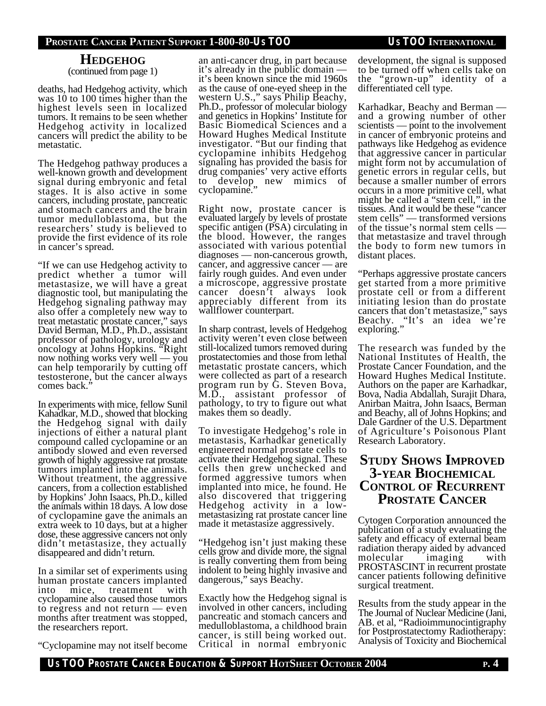### **PROSTATE CANCER PATIENT SUPPORT 1-800-80-***US TOO US TOO* **INTERNATIONAL**

### **HEDGEHOG**

(continued from page 1)

deaths, had Hedgehog activity, which was 10 to 100 times higher than the highest levels seen in localized tumors. It remains to be seen whether Hedgehog activity in localized cancers will predict the ability to be metastatic.

The Hedgehog pathway produces a well-known growth and development signal during embryonic and fetal stages. It is also active in some cancers, including prostate, pancreatic and stomach cancers and the brain tumor medulloblastoma, but the researchers' study is believed to provide the first evidence of its role in cancer's spread.

"If we can use Hedgehog activity to predict whether a tumor will metastasize, we will have a great diagnostic tool, but manipulating the Hedgehog signaling pathway may also offer a completely new way to treat metastatic prostate cancer," says David Berman, M.D., Ph.D., assistant professor of pathology, urology and oncology at Johns Hopkins. "Right now nothing works very well — you can help temporarily by cutting off testosterone, but the cancer always comes back."

In experiments with mice, fellow Sunil Kahadkar, M.D., showed that blocking the Hedgehog signal with daily injections of either a natural plant compound called cyclopamine or an antibody slowed and even reversed growth of highly aggressive rat prostate tumors implanted into the animals. Without treatment, the aggressive cancers, from a collection established by Hopkins' John Isaacs, Ph.D., killed the animals within 18 days. A low dose of cyclopamine gave the animals an extra week to 10 days, but at a higher dose, these aggressive cancers not only didn't metastasize, they actually disappeared and didn't return.

In a similar set of experiments using human prostate cancers implanted into mice, treatment with cyclopamine also caused those tumors to regress and not return — even months after treatment was stopped, the researchers report.

"Cyclopamine may not itself become

an anti-cancer drug, in part because it's already in the public domain it's been known since the mid 1960s as the cause of one-eyed sheep in the western U.S.," says Philip Beachy, Ph.D., professor of molecular biology and genetics in Hopkins' Institute for Basic Biomedical Sciences and a Howard Hughes Medical Institute investigator. "But our finding that cyclopamine inhibits Hedgehog signaling has provided the basis for drug companies' very active efforts to develop new mimics of cyclopamine."

Right now, prostate cancer is evaluated largely by levels of prostate specific antigen (PSA) circulating in the blood. However, the ranges associated with various potential diagnoses — non-cancerous growth, cancer, and aggressive cancer — are fairly rough guides. And even under a microscope, aggressive prostate cancer doesn't always look appreciably different from its wallflower counterpart.

In sharp contrast, levels of Hedgehog activity weren't even close between still-localized tumors removed during prostatectomies and those from lethal metastatic prostate cancers, which were collected as part of a research program run by G. Steven Bova, M.D., assistant professor of pathology, to try to figure out what makes them so deadly.

To investigate Hedgehog's role in metastasis, Karhadkar genetically engineered normal prostate cells to activate their Hedgehog signal. These cells then grew unchecked and formed aggressive tumors when implanted into mice, he found. He also discovered that triggering Hedgehog activity in a lowmetastasizing rat prostate cancer line made it metastasize aggressively.

"Hedgehog isn't just making these cells grow and divide more, the signal is really converting them from being indolent to being highly invasive and dangerous," says Beachy.

Exactly how the Hedgehog signal is involved in other cancers, including pancreatic and stomach cancers and medulloblastoma, a childhood brain cancer, is still being worked out. Critical in normal embryonic

development, the signal is supposed to be turned off when cells take on the "grown-up" identity of a differentiated cell type.

Karhadkar, Beachy and Berman and a growing number of other scientists — point to the involvement in cancer of embryonic proteins and pathways like Hedgehog as evidence that aggressive cancer in particular might form not by accumulation of genetic errors in regular cells, but because a smaller number of errors occurs in a more primitive cell, what might be called a "stem cell," in the tissues. And it would be these "cancer stem cells" — transformed versions of the tissue's normal stem cells that metastasize and travel through the body to form new tumors in distant places.

"Perhaps aggressive prostate cancers get started from a more primitive prostate cell or from a different initiating lesion than do prostate cancers that don't metastasize," says Beachy. "It's an idea we're exploring."

The research was funded by the National Institutes of Health, the Prostate Cancer Foundation, and the Howard Hughes Medical Institute. Authors on the paper are Karhadkar, Bova, Nadia Abdallah, Surajit Dhara, Anirban Maitra, John Isaacs, Berman and Beachy, all of Johns Hopkins; and Dale Gardner of the U.S. Department of Agriculture's Poisonous Plant Research Laboratory.

## **STUDY SHOWS IMPROVED 3-YEAR BIOCHEMICAL CONTROL OF RECURRENT PROSTATE CANCER**

Cytogen Corporation announced the publication of a study evaluating the safety and efficacy of external beam radiation therapy aided by advanced molecular imaging with PROSTASCINT in recurrent prostate cancer patients following definitive surgical treatment.

Results from the study appear in the The Journal of Nuclear Medicine (Jani, AB. et al, "Radioimmunocintigraphy for Postprostatectomy Radiotherapy: Analysis of Toxicity and Biochemical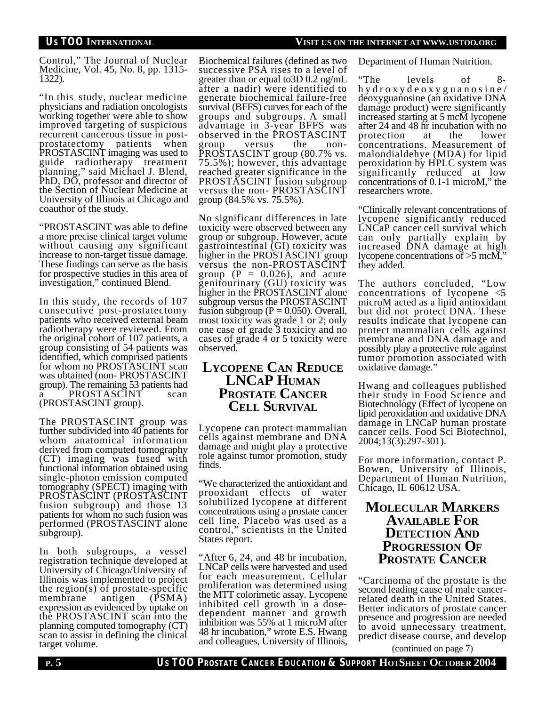#### *US TOO* **INTERNATIONAL VISIT US ON THE INTERNET AT WWW.USTOO.ORG**

Control," The Journal of Nuclear Medicine, Vol. 45, No. 8, pp. 1315- 1322).

"In this study, nuclear medicine physicians and radiation oncologists working together were able to show improved targeting of suspicious recurrent cancerous tissue in postprostatectomy patients when PROSTASCINT imaging was used to guide radiotherapy treatment planning," said Michael J. Blend, PhD, DO, professor and director of the Section of Nuclear Medicine at University of Illinois at Chicago and coauthor of the study.

"PROSTASCINT was able to define a more precise clinical target volume without causing any significant increase to non-target tissue damage. These findings can serve as the basis for prospective studies in this area of investigation," continued Blend.

In this study, the records of 107 consecutive post-prostatectomy patients who received external beam radiotherapy were reviewed. From the original cohort of 107 patients, a group consisting of 54 patients was identified, which comprised patients for whom no PROSTASCINT scan was obtained (non- PROSTASCINT group). The remaining 53 patients had PROSTASCINT scan (PROSTASCINT group).

The PROSTASCINT group was further subdivided into 40 patients for whom anatomical information derived from computed tomography (CT) imaging was fused with functional information obtained using single-photon emission computed tomography (SPECT) imaging with PROSTASCINT (PROSTASCINT fusion subgroup) and those 13 patients for whom no such fusion was performed (PROSTASCINT alone subgroup).

In both subgroups, a vessel registration technique developed at University of Chicago/University of Illinois was implemented to project the region(s) of prostate-specific<br>membrane antigen (PSMA) membrane antigen expression as evidenced by uptake on the PROSTASCINT scan into the planning computed tomography (CT) scan to assist in defining the clinical target volume.

Biochemical failures (defined as two successive PSA rises to a level of greater than or equal to3D 0.2 ng/mL after a nadir) were identified to generate biochemical failure-free survival (BFFS) curves for each of the groups and subgroups. A small advantage in 3-year BFFS was observed in the PROSTASCINT group versus the non-PROSTASCINT group (80.7% vs. 75.5%); however, this advantage reached greater significance in the PROSTASCINT fusion subgroup versus the non- PROSTASCINT group (84.5% vs. 75.5%).

No significant differences in late toxicity were observed between any group or subgroup. However, acute gastrointestinal (GI) toxicity was higher in the PROSTASCINT group versus the non-PROSTASCINT group  $(P = 0.026)$ , and acute genitourinary (GU) toxicity was higher in the PROSTASCINT alone subgroup versus the PROSTASCINT fusion subgroup ( $P = 0.050$ ). Overall, most toxicity was grade 1 or 2; only one case of grade 3 toxicity and no cases of grade 4 or 5 toxicity were observed.

## **LYCOPENE CAN REDUCE LNCAP HUMAN PROSTATE CANCER CELL SURVIVAL**

Lycopene can protect mammalian cells against membrane and DNA damage and might play a protective role against tumor promotion, study finds.

"We characterized the antioxidant and prooxidant effects of water solubilized lycopene at different concentrations using a prostate cancer cell line. Placebo was used as a control," scientists in the United States report.

"After 6, 24, and 48 hr incubation, LNCaP cells were harvested and used for each measurement. Cellular proliferation was determined using the MTT colorimetic assay. Lycopene inhibited cell growth in a dosedependent manner and growth inhibition was 55% at 1 microM after 48 hr incubation," wrote E.S. Hwang and colleagues, University of Illinois,

Department of Human Nutrition.

"The levels of h y d r o x y d e o x y g u a n o s i n e / deoxyguanosine (an oxidative DNA damage product) were significantly increased starting at 5 mcM lycopene after 24 and 48 hr incubation with no protection at the lower concentrations. Measurement of malondialdehye (MDA) for lipid peroxidation by HPLC system was significantly reduced at low concentrations of 0.1-1 microM," the researchers wrote.

"Clinically relevant concentrations of lycopene significantly reduced LNCaP cancer cell survival which can only partially explain by increased DNA damage at high lycopene concentrations of >5 mcM," they added.

The authors concluded, "Low concentrations of lycopene <5 microM acted as a lipid antioxidant but did not protect DNA. These results indicate that lycopene can protect mammalian cells against membrane and DNA damage and possibly play a protective role against tumor promotion associated with oxidative damage."

Hwang and colleagues published their study in Food Science and Biotechnology (Effect of lycopene on lipid peroxidation and oxidative DNA damage in LNCaP human prostate cancer cells. Food Sci Biotechnol, 2004;13(3):297-301).

For more information, contact P. Bowen, University of Illinois, Department of Human Nutrition, Chicago, IL 60612 USA.

## **MOLECULAR MARKERS AVAILABLE FOR DETECTION AND PROGRESSION OF PROSTATE CANCER**

"Carcinoma of the prostate is the second leading cause of male cancerrelated death in the United States. Better indicators of prostate cancer presence and progression are needed to avoid unnecessary treatment, predict disease course, and develop

(continued on page 7)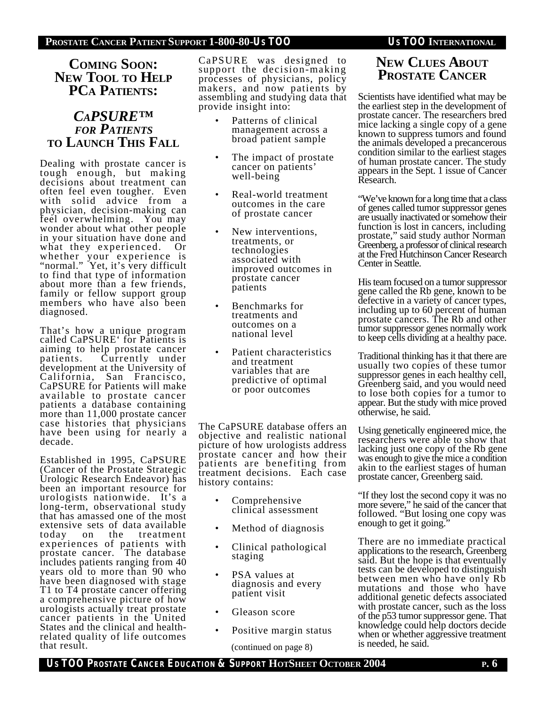## **COMING SOON: NEW TOOL TO HELP PCA PATIENTS:**

# *CAPSURE™ FOR PATIENTS* **TO LAUNCH THIS FALL**

Dealing with prostate cancer is tough enough, but making decisions about treatment can often feel even tougher. Even with solid advice from a physician, decision-making can feel overwhelming. You may wonder about what other people in your situation have done and<br>what they experienced. Or what they experienced. whether your experience is "normal." Yet, it's very difficult to find that type of information about more than a few friends, family or fellow support group members who have also been diagnosed.

That's how a unique program called CaPSURE' for Patients is aiming to help prostate cancer patients. Currently under development at the University of California, San Francisco, CaPSURE for Patients will make available to prostate cancer patients a database containing more than 11,000 prostate cancer case histories that physicians have been using for nearly a decade.

Established in 1995, CaPSURE (Cancer of the Prostate Strategic Urologic Research Endeavor) has been an important resource for urologists nationwide. It's a long-term, observational study that has amassed one of the most extensive sets of data available<br>today on the treatment today on the treatment experiences of patients with prostate cancer. The database includes patients ranging from 40 years old to more than 90 who have been diagnosed with stage T1 to T4 prostate cancer offering a comprehensive picture of how urologists actually treat prostate cancer patients in the United States and the clinical and healthrelated quality of life outcomes that result.

CaPSURE was designed to support the decision-making processes of physicians, policy makers, and now patients by assembling and studying data that provide insight into:

- Patterns of clinical management across a broad patient sample
- The impact of prostate cancer on patients' well-being
- Real-world treatment outcomes in the care of prostate cancer
- New interventions, treatments, or technologies associated with improved outcomes in prostate cancer patients
- Benchmarks for treatments and outcomes on a national level
- Patient characteristics and treatment variables that are predictive of optimal or poor outcomes

The CaPSURE database offers an objective and realistic national picture of how urologists address prostate cancer and how their patients are benefiting from treatment decisions. Each case history contains:

- Comprehensive clinical assessment
- Method of diagnosis
- Clinical pathological staging
- PSA values at diagnosis and every patient visit
- Gleason score
- Positive margin status

(continued on page 8)

# **NEW CLUES ABOUT PROSTATE CANCER**

Scientists have identified what may be the earliest step in the development of prostate cancer. The researchers bred mice lacking a single copy of a gene known to suppress tumors and found the animals developed a precancerous condition similar to the earliest stages of human prostate cancer. The study appears in the Sept. 1 issue of Cancer Research.

"We've known for a long time that a class of genes called tumor suppressor genes are usually inactivated or somehow their function is lost in cancers, including prostate," said study author Norman Greenberg, a professor of clinical research at the Fred Hutchinson Cancer Research Center in Seattle.

His team focused on a tumor suppressor gene called the Rb gene, known to be defective in a variety of cancer types, including up to 60 percent of human prostate cancers. The Rb and other tumor suppressor genes normally work to keep cells dividing at a healthy pace.

Traditional thinking has it that there are usually two copies of these tumor suppressor genes in each healthy cell, Greenberg said, and you would need to lose both copies for a tumor to appear. But the study with mice proved otherwise, he said.

Using genetically engineered mice, the researchers were able to show that lacking just one copy of the Rb gene was enough to give the mice a condition akin to the earliest stages of human prostate cancer, Greenberg said.

"If they lost the second copy it was no more severe," he said of the cancer that followed. "But losing one copy was enough to get it going."

There are no immediate practical applications to the research, Greenberg said. But the hope is that eventually tests can be developed to distinguish between men who have only Rb mutations and those who have additional genetic defects associated with prostate cancer, such as the loss of the p53 tumor suppressor gene. That knowledge could help doctors decide when or whether aggressive treatment is needed, he said.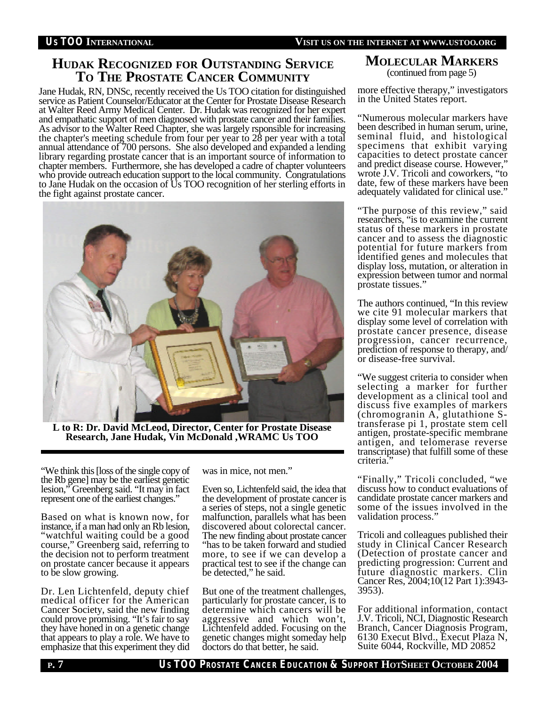## **HUDAK RECOGNIZED FOR OUTSTANDING SERVICE TO THE PROSTATE CANCER COMMUNITY**

Jane Hudak, RN, DNSc, recently received the Us TOO citation for distinguished service as Patient Counselor/Educator at the Center for Prostate Disease Research at Walter Reed Army Medical Center. Dr. Hudak was recognized for her expert and empathatic support of men diagnosed with prostate cancer and their families. As advisor to the Walter Reed Chapter, she was largely rsponsible for increasing the chapter's meeting schedule from four per year to 28 per year with a total annual attendance of 700 persons. She also developed and expanded a lending library regarding prostate cancer that is an important source of information to chapter members. Furthermore, she has developed a cadre of chapter volunteers who provide outreach education support to the local community. Congratulations to Jane Hudak on the occasion of Us TOO recognition of her sterling efforts in the fight against prostate cancer.



**L to R: Dr. David McLeod, Director, Center for Prostate Disease Research, Jane Hudak, Vin McDonald ,WRAMC Us TOO**

"We think this [loss of the single copy of the Rb gene] may be the earliest genetic lesion," Greenberg said. "It may in fact represent one of the earliest changes."

Based on what is known now, for instance, if a man had only an Rb lesion, "watchful waiting could be a good course," Greenberg said, referring to the decision not to perform treatment on prostate cancer because it appears to be slow growing.

Dr. Len Lichtenfeld, deputy chief medical officer for the American Cancer Society, said the new finding could prove promising. "It's fair to say they have honed in on a genetic change that appears to play a role. We have to emphasize that this experiment they did was in mice, not men."

Even so, Lichtenfeld said, the idea that the development of prostate cancer is a series of steps, not a single genetic malfunction, parallels what has been discovered about colorectal cancer. The new finding about prostate cancer "has to be taken forward and studied more, to see if we can develop a practical test to see if the change can be detected," he said.

But one of the treatment challenges, particularly for prostate cancer, is to determine which cancers will be aggressive and which won't, Lichtenfeld added. Focusing on the genetic changes might someday help doctors do that better, he said.

### **MOLECULAR MARKERS** (continued from page 5)

more effective therapy," investigators in the United States report.

"Numerous molecular markers have been described in human serum, urine, seminal fluid, and histological specimens that exhibit varying capacities to detect prostate cancer and predict disease course. However," wrote J.V. Tricoli and coworkers, "to date, few of these markers have been adequately validated for clinical use."

"The purpose of this review," said researchers, "is to examine the current status of these markers in prostate cancer and to assess the diagnostic potential for future markers from identified genes and molecules that display loss, mutation, or alteration in expression between tumor and normal prostate tissues."

The authors continued, "In this review we cite 91 molecular markers that display some level of correlation with prostate cancer presence, disease progression, cancer recurrence, prediction of response to therapy, and/ or disease-free survival.

"We suggest criteria to consider when selecting a marker for further development as a clinical tool and discuss five examples of markers (chromogranin A, glutathione Stransferase pi 1, prostate stem cell antigen, prostate-specific membrane antigen, and telomerase reverse transcriptase) that fulfill some of these criteria.'

"Finally," Tricoli concluded, "we discuss how to conduct evaluations of candidate prostate cancer markers and some of the issues involved in the validation process."

Tricoli and colleagues published their study in Clinical Cancer Research (Detection of prostate cancer and predicting progression: Current and future diagnostic markers. Clin Cancer Res, 2004;10(12 Part 1):3943- 3953).

For additional information, contact J.V. Tricoli, NCI, Diagnostic Research Branch, Cancer Diagnosis Program, 6130 Execut Blvd., Execut Plaza N, Suite 6044, Rockville, MD 20852

**<sup>P</sup>. 7** *US TOO PROSTATE CANCER EDUCATION & SUPPORT* **HOTSHEET OCTOBER 2004**